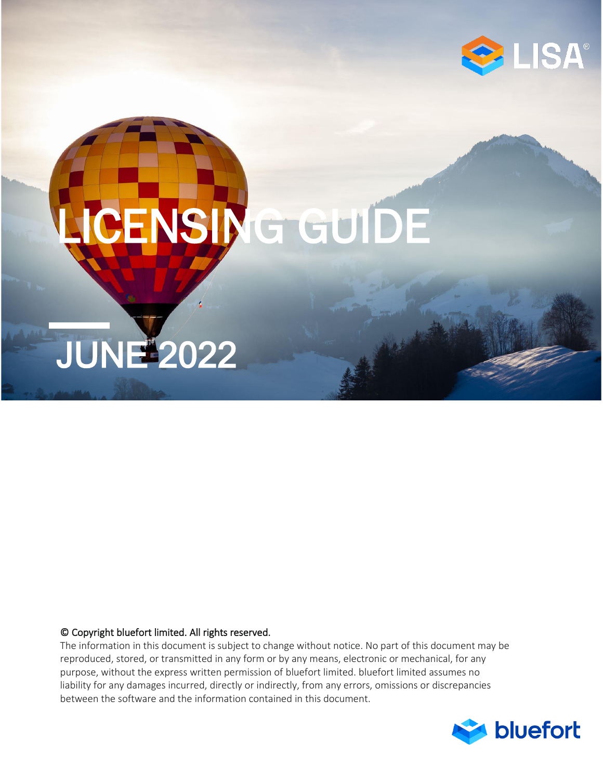

# JUNE 2022 LICENSING GUIDE

### © Copyright bluefort limited. All rights reserved.

The information in this document is subject to change without notice. No part of this document may be reproduced, stored, or transmitted in any form or by any means, electronic or mechanical, for any purpose, without the express written permission of bluefort limited. bluefort limited assumes no liability for any damages incurred, directly or indirectly, from any errors, omissions or discrepancies between the software and the information contained in this document.

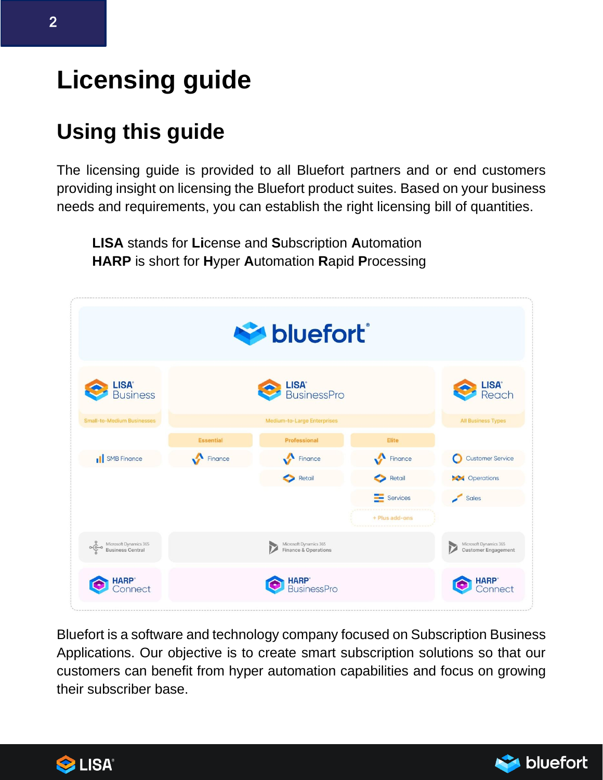# **Licensing guide**

# **Using this guide**

The licensing guide is provided to all Bluefort partners and or end customers providing insight on licensing the Bluefort product suites. Based on your business needs and requirements, you can establish the right licensing bill of quantities.

**LISA** stands for **Li**cense and **S**ubscription **A**utomation **HARP** is short for **H**yper **A**utomation **R**apid **P**rocessing

| bluefort <sup>®</sup>                                              |                  |                                                |                |                                                           |
|--------------------------------------------------------------------|------------------|------------------------------------------------|----------------|-----------------------------------------------------------|
| <b>LISA<sup>®</sup></b><br>Business                                |                  | LISA <sup>*</sup><br>BusinessPro               |                | LISA <sup>*</sup><br>Reach                                |
| <b>Small-to-Medium Businesses</b>                                  |                  | Medium-to-Large Enterprises                    |                | <b>All Business Types</b>                                 |
|                                                                    | <b>Essential</b> | Professional                                   | Elite          |                                                           |
| <b>II</b> SMB Finance                                              | Finance          | Finance                                        | Finance        | Customer Service<br>O                                     |
|                                                                    |                  | Retail                                         | Retail         | <b>Derations</b>                                          |
|                                                                    |                  |                                                | Services       | Sales                                                     |
|                                                                    |                  |                                                | + Plus add-ons |                                                           |
| Microsoft Dynamics 365<br>Business Central<br>$\frac{1}{\sqrt{2}}$ |                  | Microsoft Dynamics 365<br>Finance & Operations |                | Microsoft Dynamics 365<br>D<br><b>Customer Engagement</b> |
| <b>HARP</b> <sup>*</sup><br><b>ionnect</b>                         |                  | <b>HARP</b> <sup>*</sup><br>BusinessPro        |                | HARP <sup>®</sup><br>Connect                              |

Bluefort is a software and technology company focused on Subscription Business Applications. Our objective is to create smart subscription solutions so that our customers can benefit from hyper automation capabilities and focus on growing their subscriber base.



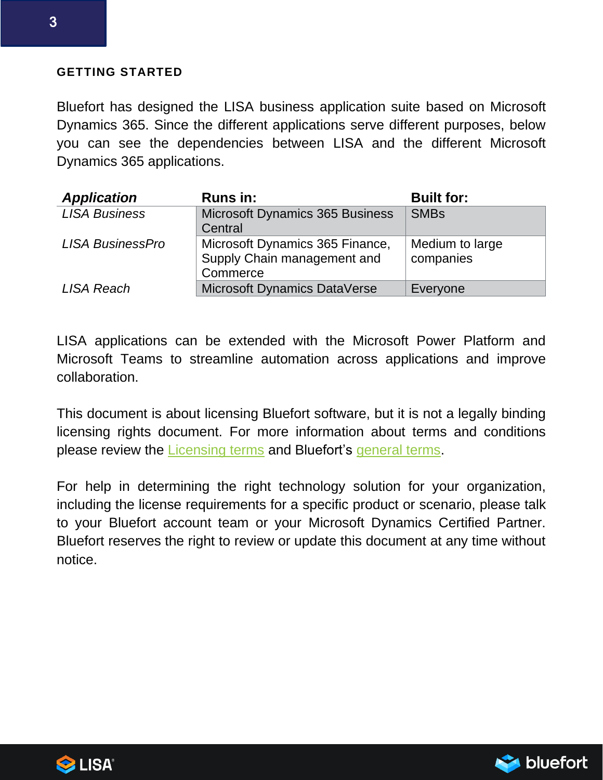### **GETTING STARTED**

Bluefort has designed the LISA business application suite based on Microsoft Dynamics 365. Since the different applications serve different purposes, below you can see the dependencies between LISA and the different Microsoft Dynamics 365 applications.

| <b>Application</b>      | <b>Runs in:</b>                        | <b>Built for:</b> |
|-------------------------|----------------------------------------|-------------------|
| <b>LISA Business</b>    | <b>Microsoft Dynamics 365 Business</b> | <b>SMBs</b>       |
|                         | Central                                |                   |
| <b>LISA BusinessPro</b> | Microsoft Dynamics 365 Finance,        | Medium to large   |
|                         | Supply Chain management and            | companies         |
|                         | Commerce                               |                   |
| LISA Reach              | Microsoft Dynamics DataVerse           | Everyone          |

LISA applications can be extended with the Microsoft Power Platform and Microsoft Teams to streamline automation across applications and improve collaboration.

This document is about licensing Bluefort software, but it is not a legally binding licensing rights document. For more information about terms and conditions please review the [Licensing terms](https://bluefort.eu/commercial/end-user-licence-agreement-3-0a/) and Bluefort's [general terms.](https://bluefort.eu/commercial/general_tand-cs_of_service_tac2-0a/)

For help in determining the right technology solution for your organization, including the license requirements for a specific product or scenario, please talk to your Bluefort account team or your Microsoft Dynamics Certified Partner. Bluefort reserves the right to review or update this document at any time without notice.



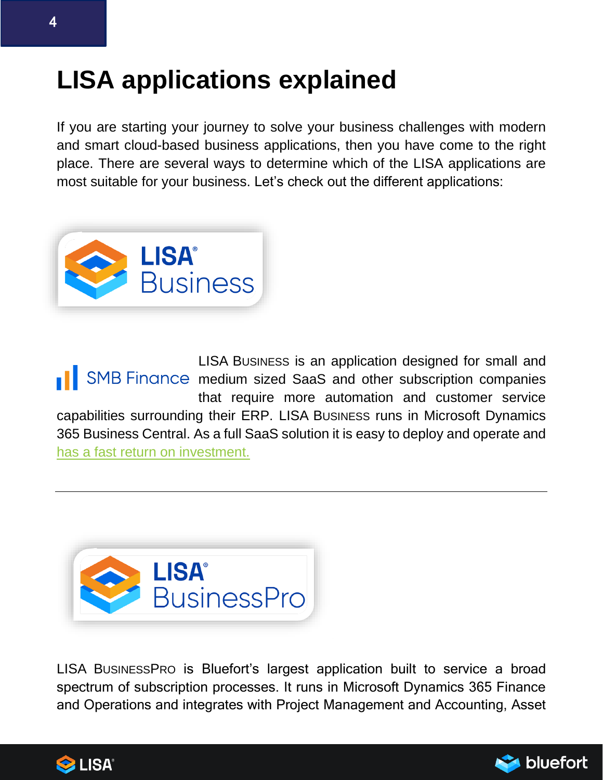# **LISA applications explained**

If you are starting your journey to solve your business challenges with modern and smart cloud-based business applications, then you have come to the right place. There are several ways to determine which of the LISA applications are most suitable for your business. Let's check out the different applications:



LISA BUSINESS is an application designed for small and **No. 1 SMB Finance medium sized SaaS and other subscription companies** that require more automation and customer service capabilities surrounding their ERP. LISA BUSINESS runs in Microsoft Dynamics 365 Business Central. As a full SaaS solution it is easy to deploy and operate and [has a fast return on investment.](https://download.microsoft.com/download/f/8/b/f8b3d4db-d2b6-4357-bfc4-a1fdafd8b993/TEI_of_Microsoft_Business%20Central_FINAL.pdf) 



LISA BUSINESSPRO is Bluefort's largest application built to service a broad spectrum of subscription processes. It runs in Microsoft Dynamics 365 Finance and Operations and integrates with Project Management and Accounting, Asset



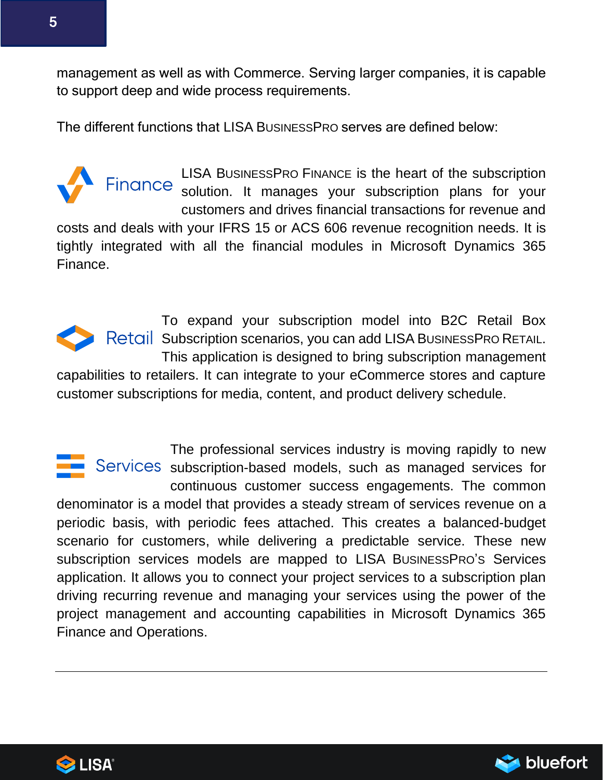management as well as with Commerce. Serving larger companies, it is capable to support deep and wide process requirements.

The different functions that LISA BUSINESSPRO serves are defined below:



LISA BUSINESSPRO FINANCE is the heart of the subscription Finance solution. It manages your subscription plans for your customers and drives financial transactions for revenue and

costs and deals with your IFRS 15 or ACS 606 revenue recognition needs. It is tightly integrated with all the financial modules in Microsoft Dynamics 365 Finance.

To expand your subscription model into B2C Retail Box Subscription scenarios, you can add LISA BUSINESSPRO RETAIL. This application is designed to bring subscription management capabilities to retailers. It can integrate to your eCommerce stores and capture customer subscriptions for media, content, and product delivery schedule.

The professional services industry is moving rapidly to new Services subscription-based models, such as managed services for continuous customer success engagements. The common denominator is a model that provides a steady stream of services revenue on a periodic basis, with periodic fees attached. This creates a balanced-budget scenario for customers, while delivering a predictable service. These new subscription services models are mapped to LISA BUSINESSPRO'S Services application. It allows you to connect your project services to a subscription plan driving recurring revenue and managing your services using the power of the project management and accounting capabilities in Microsoft Dynamics 365 Finance and Operations.



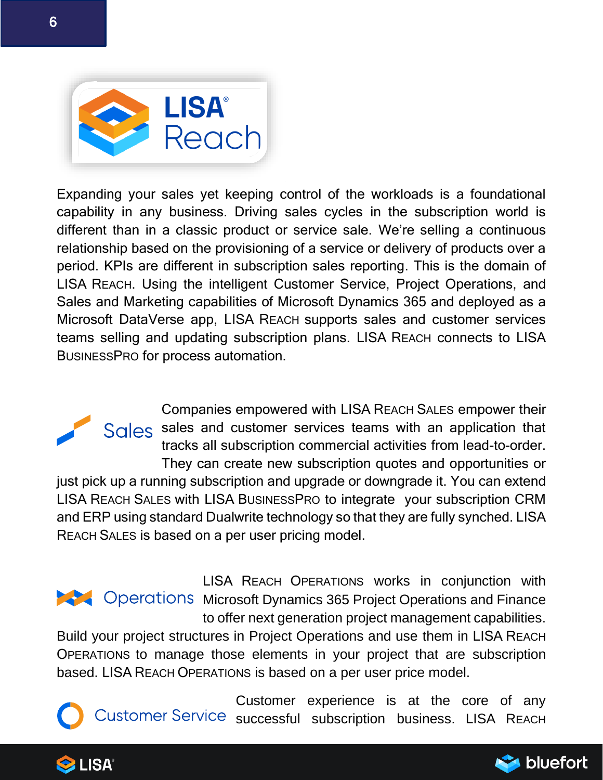

Expanding your sales yet keeping control of the workloads is a foundational capability in any business. Driving sales cycles in the subscription world is different than in a classic product or service sale. We're selling a continuous relationship based on the provisioning of a service or delivery of products over a period. KPIs are different in subscription sales reporting. This is the domain of LISA REACH. Using the intelligent Customer Service, Project Operations, and Sales and Marketing capabilities of Microsoft Dynamics 365 and deployed as a Microsoft DataVerse app, LISA REACH supports sales and customer services teams selling and updating subscription plans. LISA REACH connects to LISA BUSINESSPRO for process automation.

Companies empowered with LISA REACH SALES empower their Sales sales and customer services teams with an application that tracks all subscription commercial activities from lead-to-order. They can create new subscription quotes and opportunities or just pick up a running subscription and upgrade or downgrade it. You can extend LISA REACH SALES with LISA BUSINESSPRO to integrate your subscription CRM and ERP using standard Dualwrite technology so that they are fully synched. LISA REACH SALES is based on a per user pricing model.

LISA REACH OPERATIONS works in conjunction with **Microsoft Dynamics 365 Project Operations and Finance** to offer next generation project management capabilities.

Build your project structures in Project Operations and use them in LISA REACH OPERATIONS to manage those elements in your project that are subscription based. LISA REACH OPERATIONS is based on a per user price model.

Customer experience is at the core of any Customer Service successful subscription business. LISA REACH



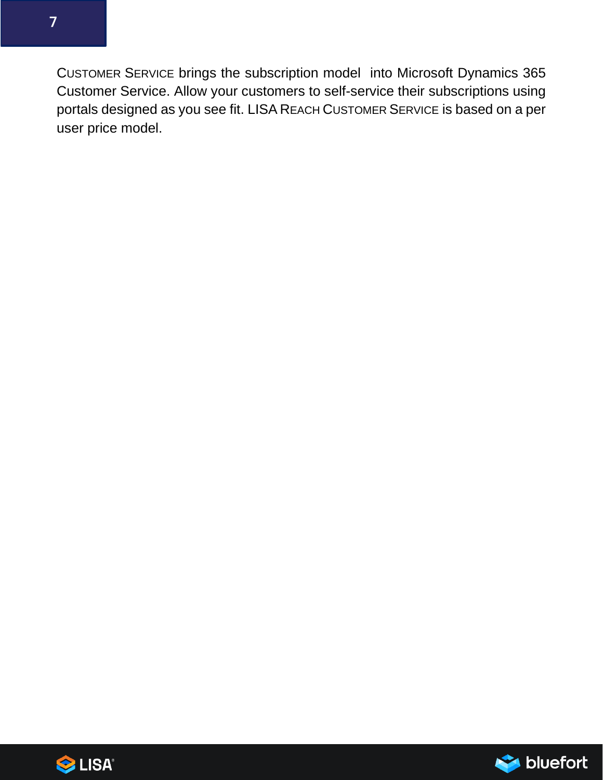CUSTOMER SERVICE brings the subscription model into Microsoft Dynamics 365 Customer Service. Allow your customers to self-service their subscriptions using portals designed as you see fit. LISA REACH CUSTOMER SERVICE is based on a per user price model.



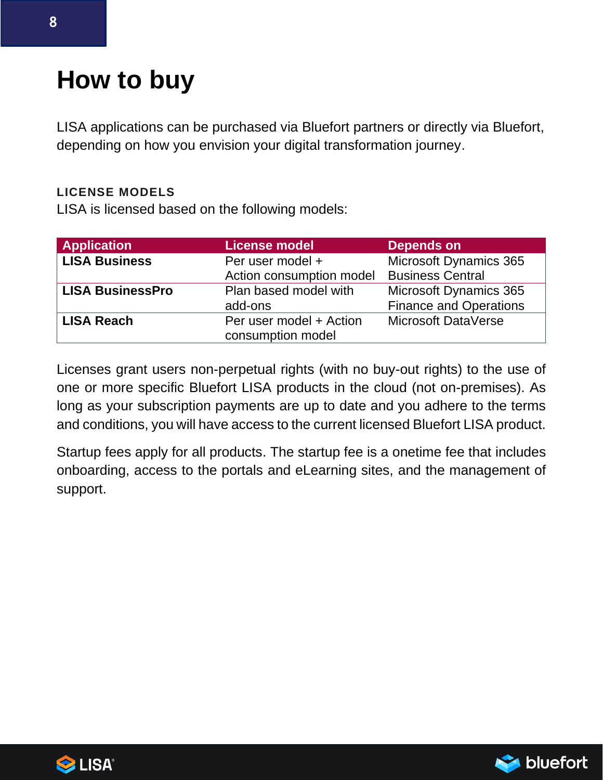# **How to buy**

LISA applications can be purchased via Bluefort partners or directly via Bluefort, depending on how you envision your digital transformation journey.

### **LICENSE MODELS**

LISA is licensed based on the following models:

| <b>Application</b>      | <b>License model</b>     | <b>Depends on</b>             |
|-------------------------|--------------------------|-------------------------------|
| <b>LISA Business</b>    | Per user model +         | Microsoft Dynamics 365        |
|                         | Action consumption model | <b>Business Central</b>       |
| <b>LISA BusinessPro</b> | Plan based model with    | <b>Microsoft Dynamics 365</b> |
|                         | add-ons                  | <b>Finance and Operations</b> |
| <b>LISA Reach</b>       | Per user model + Action  | Microsoft DataVerse           |
|                         | consumption model        |                               |

Licenses grant users non-perpetual rights (with no buy-out rights) to the use of one or more specific Bluefort LISA products in the cloud (not on-premises). As long as your subscription payments are up to date and you adhere to the terms and conditions, you will have access to the current licensed Bluefort LISA product.

Startup fees apply for all products. The startup fee is a onetime fee that includes onboarding, access to the portals and eLearning sites, and the management of support.



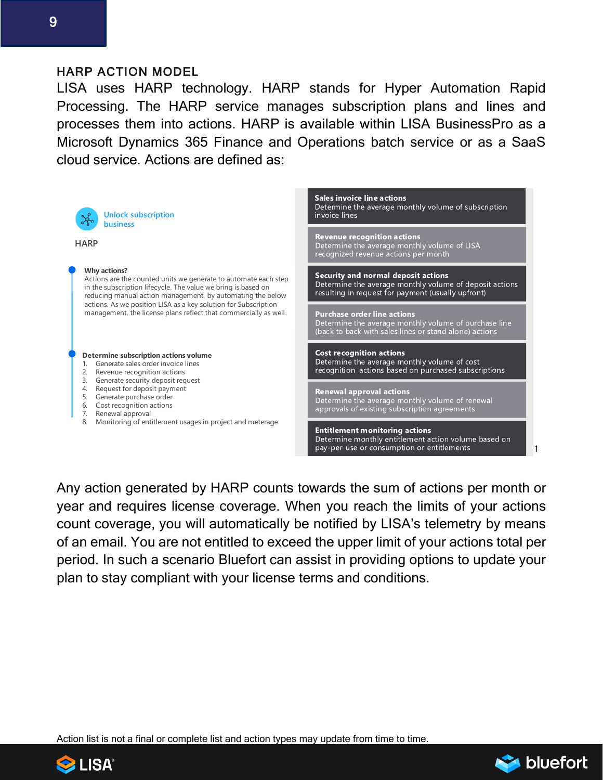### HARP ACTION MODEL

LISA uses HARP technology. HARP stands for Hyper Automation Rapid Processing. The HARP service manages subscription plans and lines and processes them into actions. HARP is available within LISA BusinessPro as a Microsoft Dynamics 365 Finance and Operations batch service or as a SaaS cloud service. Actions are defined as:

| <b>Unlock subscription</b><br><b>business</b>                                                                                                                                                                         | <b>Sales invoice line actions</b><br>Determine the average monthly volume of subscription<br>invoice lines                                                  |
|-----------------------------------------------------------------------------------------------------------------------------------------------------------------------------------------------------------------------|-------------------------------------------------------------------------------------------------------------------------------------------------------------|
| <b>HARP</b>                                                                                                                                                                                                           | <b>Revenue recognition actions</b><br>Determine the average monthly volume of LISA<br>recognized revenue actions per month                                  |
| <b>Why actions?</b><br>Actions are the counted units we generate to automate each step<br>in the subscription lifecycle. The value we bring is based on<br>reducing manual action management, by automating the below | <b>Security and normal deposit actions</b><br>Determine the average monthly volume of deposit actions<br>resulting in request for payment (usually upfront) |
| actions. As we position LISA as a key solution for Subscription<br>management, the license plans reflect that commercially as well.                                                                                   | <b>Purchase order line actions</b><br>Determine the average monthly volume of purchase line<br>(back to back with sales lines or stand alone) actions       |
| Determine subscription actions volume<br>Generate sales order invoice lines<br>Revenue recognition actions<br>3.                                                                                                      | <b>Cost recognition actions</b><br>Determine the average monthly volume of cost<br>recognition actions based on purchased subscriptions                     |
| Generate security deposit request<br>Request for deposit payment<br>4.<br>Generate purchase order<br>5.<br>Cost recognition actions<br>6.<br>Renewal approval<br>7.                                                   | <b>Renewal approval actions</b><br>Determine the average monthly volume of renewal<br>approvals of existing subscription agreements                         |
| Monitoring of entitlement usages in project and meterage<br>8.                                                                                                                                                        | <b>Entitlement monitoring actions</b><br>Determine monthly entitlement action volume based on<br>pay-per-use or consumption or entitlements                 |

Any action generated by HARP counts towards the sum of actions per month or year and requires license coverage. When you reach the limits of your actions count coverage, you will automatically be notified by LISA's telemetry by means of an email. You are not entitled to exceed the upper limit of your actions total per period. In such a scenario Bluefort can assist in providing options to update your plan to stay compliant with your license terms and conditions.

Action list is not a final or complete list and action types may update from time to time.



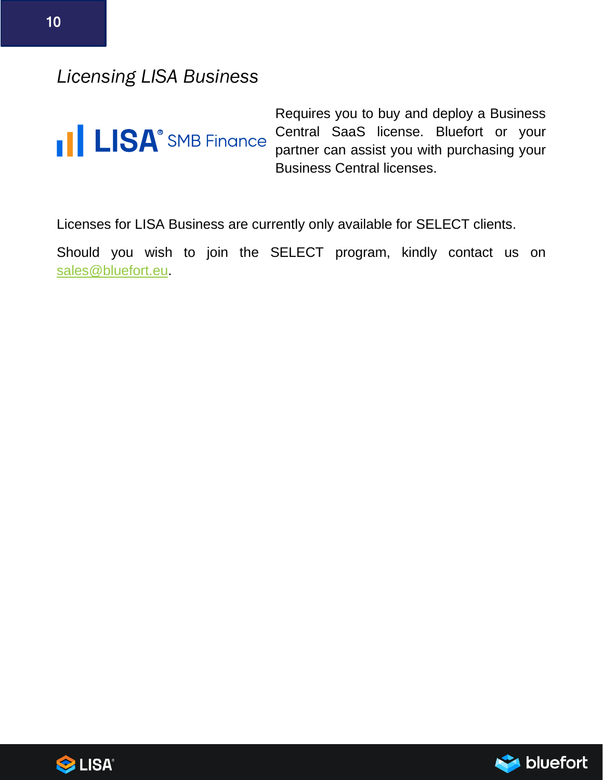### *Licensing LISA Business*



Requires you to buy and deploy a Business Central SaaS license. Bluefort or your partner can assist you with purchasing your Business Central licenses.

Licenses for LISA Business are currently only available for SELECT clients.

Should you wish to join the SELECT program, kindly contact us on [sales@bluefort.eu.](mailto:sales@bluefort.eu)



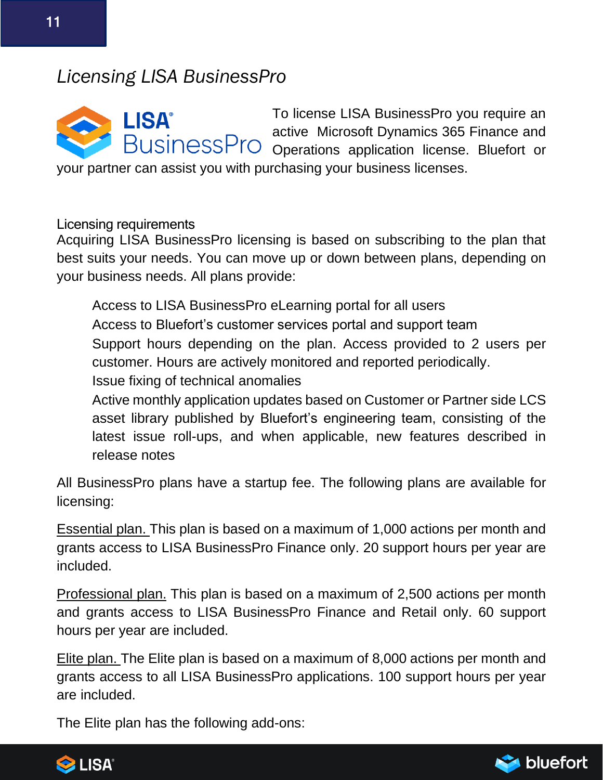## *Licensing LISA BusinessPro*

**LISA® BusinessPro** 

To license LISA BusinessPro you require an active Microsoft Dynamics 365 Finance and Operations application license. Bluefort or

your partner can assist you with purchasing your business licenses.

Licensing requirements

Acquiring LISA BusinessPro licensing is based on subscribing to the plan that best suits your needs. You can move up or down between plans, depending on your business needs. All plans provide:

• Access to LISA BusinessPro eLearning portal for all users • Access to Bluefort's customer services portal and support team • Support hours depending on the plan. Access provided to 2 users per customer. Hours are actively monitored and reported periodically. • Issue fixing of technical anomalies

• Active monthly application updates based on Customer or Partner side LCS asset library published by Bluefort's engineering team, consisting of the latest issue roll-ups, and when applicable, new features described in release notes

All BusinessPro plans have a startup fee. The following plans are available for licensing:

Essential plan. This plan is based on a maximum of 1,000 actions per month and grants access to LISA BusinessPro Finance only. 20 support hours per year are included.

Professional plan. This plan is based on a maximum of 2,500 actions per month and grants access to LISA BusinessPro Finance and Retail only. 60 support hours per year are included.

Elite plan. The Elite plan is based on a maximum of 8,000 actions per month and grants access to all LISA BusinessPro applications. 100 support hours per year are included.

The Elite plan has the following add-ons:



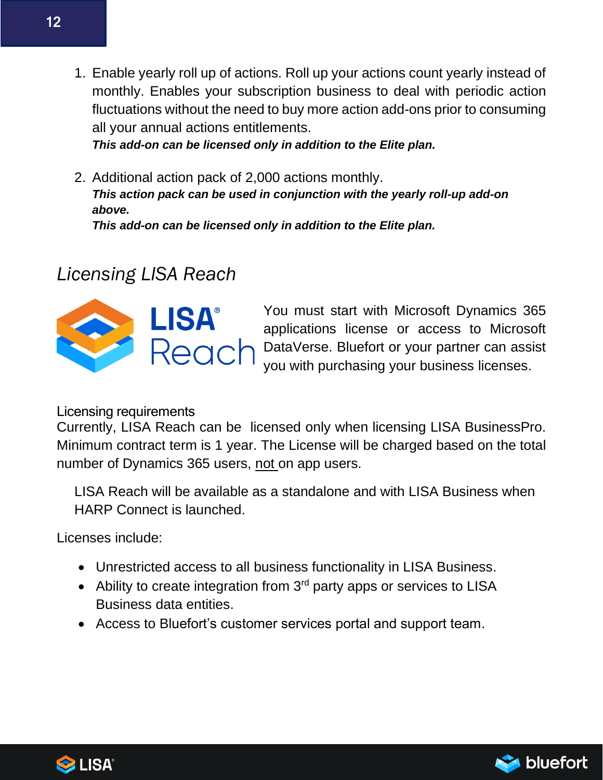1. Enable yearly roll up of actions. Roll up your actions count yearly instead of monthly. Enables your subscription business to deal with periodic action fluctuations without the need to buy more action add-ons prior to consuming all your annual actions entitlements.

*This add-on can be licensed only in addition to the Elite plan.*

2. Additional action pack of 2,000 actions monthly. *This action pack can be used in conjunction with the yearly roll-up add-on above.*

*This add-on can be licensed only in addition to the Elite plan.* 

## *Licensing LISA Reach*



You must start with Microsoft Dynamics 365 applications license or access to Microsoft DataVerse. Bluefort or your partner can assist you with purchasing your business licenses.

### Licensing requirements

Currently, LISA Reach can be licensed only when licensing LISA BusinessPro. Minimum contract term is 1 year. The License will be charged based on the total number of Dynamics 365 users, not on app users.

LISA Reach will be available as a standalone and with LISA Business when HARP Connect is launched.

Licenses include:

- Unrestricted access to all business functionality in LISA Business.
- Ability to create integration from 3<sup>rd</sup> party apps or services to LISA Business data entities.
- Access to Bluefort's customer services portal and support team.



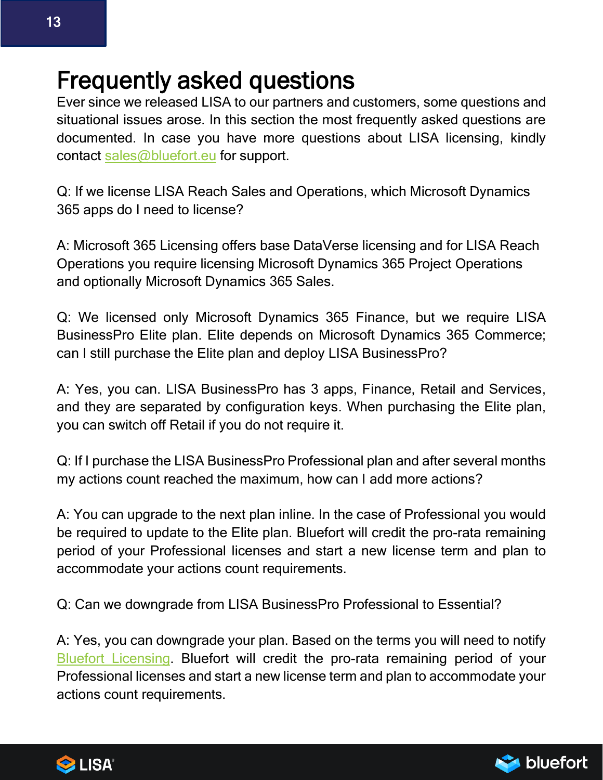# Frequently asked questions

Ever since we released LISA to our partners and customers, some questions and situational issues arose. In this section the most frequently asked questions are documented. In case you have more questions about LISA licensing, kindly contact [sales@bluefort.eu](mailto:sales@bluefort.eu) for support.

Q: If we license LISA Reach Sales and Operations, which Microsoft Dynamics 365 apps do I need to license?

A: Microsoft 365 Licensing offers base DataVerse licensing and for LISA Reach Operations you require licensing Microsoft Dynamics 365 Project Operations and optionally Microsoft Dynamics 365 Sales.

Q: We licensed only Microsoft Dynamics 365 Finance, but we require LISA BusinessPro Elite plan. Elite depends on Microsoft Dynamics 365 Commerce; can I still purchase the Elite plan and deploy LISA BusinessPro?

A: Yes, you can. LISA BusinessPro has 3 apps, Finance, Retail and Services, and they are separated by configuration keys. When purchasing the Elite plan, you can switch off Retail if you do not require it.

Q: If I purchase the LISA BusinessPro Professional plan and after several months my actions count reached the maximum, how can I add more actions?

A: You can upgrade to the next plan inline. In the case of Professional you would be required to update to the Elite plan. Bluefort will credit the pro-rata remaining period of your Professional licenses and start a new license term and plan to accommodate your actions count requirements.

Q: Can we downgrade from LISA BusinessPro Professional to Essential?

A: Yes, you can downgrade your plan. Based on the terms you will need to notify [Bluefort Licensing.](mailto:licensing@bluefort.eu) Bluefort will credit the pro-rata remaining period of your Professional licenses and start a new license term and plan to accommodate your actions count requirements.



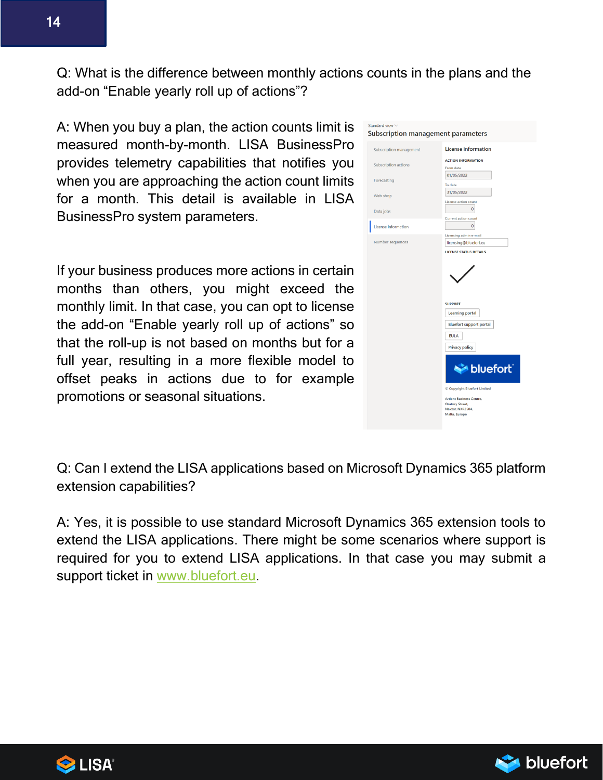Q: What is the difference between monthly actions counts in the plans and the add-on "Enable yearly roll up of actions"?

A: When you buy a plan, the action counts limit is measured month-by-month. LISA BusinessPro provides telemetry capabilities that notifies you when you are approaching the action count limits for a month. This detail is available in LISA BusinessPro system parameters.

If your business produces more actions in certain months than others, you might exceed the monthly limit. In that case, you can opt to license the add-on "Enable yearly roll up of actions" so that the roll-up is not based on months but for a full year, resulting in a more flexible model to offset peaks in actions due to for example promotions or seasonal situations.



Q: Can I extend the LISA applications based on Microsoft Dynamics 365 platform extension capabilities?

A: Yes, it is possible to use standard Microsoft Dynamics 365 extension tools to extend the LISA applications. There might be some scenarios where support is required for you to extend LISA applications. In that case you may submit a support ticket in [www.bluefort.eu.](http://www.bluefort.eu/)